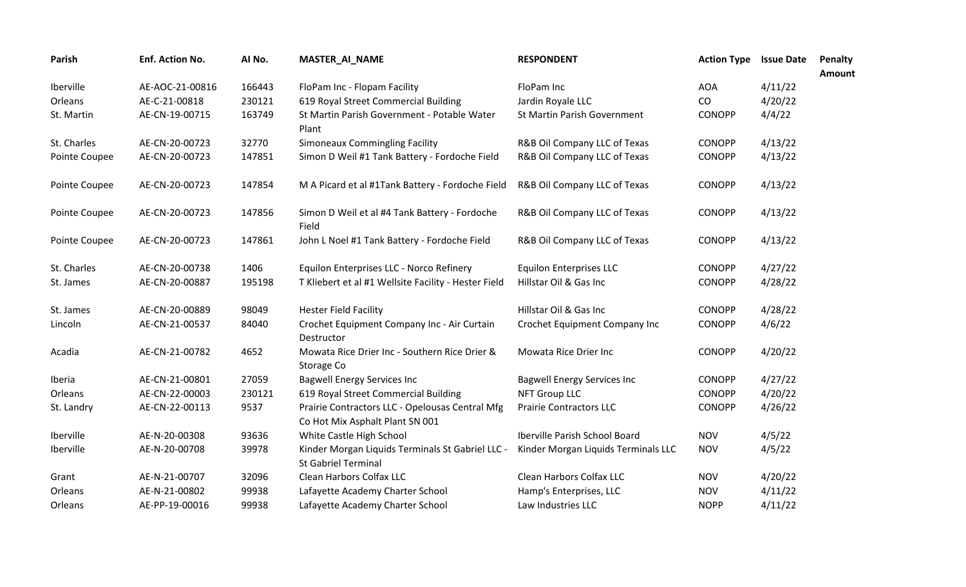| Parish        | Enf. Action No. | AI No. | MASTER_AI_NAME                                                                     | <b>RESPONDENT</b>                   | <b>Action Type</b> | <b>Issue Date</b> | <b>Penalty</b><br>Amount |
|---------------|-----------------|--------|------------------------------------------------------------------------------------|-------------------------------------|--------------------|-------------------|--------------------------|
| Iberville     | AE-AOC-21-00816 | 166443 | FloPam Inc - Flopam Facility                                                       | FloPam Inc                          | <b>AOA</b>         | 4/11/22           |                          |
| Orleans       | AE-C-21-00818   | 230121 | 619 Royal Street Commercial Building                                               | Jardin Royale LLC                   | CO                 | 4/20/22           |                          |
| St. Martin    | AE-CN-19-00715  | 163749 | St Martin Parish Government - Potable Water<br>Plant                               | St Martin Parish Government         | <b>CONOPP</b>      | 4/4/22            |                          |
| St. Charles   | AE-CN-20-00723  | 32770  | <b>Simoneaux Commingling Facility</b>                                              | R&B Oil Company LLC of Texas        | <b>CONOPP</b>      | 4/13/22           |                          |
| Pointe Coupee | AE-CN-20-00723  | 147851 | Simon D Weil #1 Tank Battery - Fordoche Field                                      | R&B Oil Company LLC of Texas        | CONOPP             | 4/13/22           |                          |
| Pointe Coupee | AE-CN-20-00723  | 147854 | M A Picard et al #1Tank Battery - Fordoche Field                                   | R&B Oil Company LLC of Texas        | <b>CONOPP</b>      | 4/13/22           |                          |
| Pointe Coupee | AE-CN-20-00723  | 147856 | Simon D Weil et al #4 Tank Battery - Fordoche<br>Field                             | R&B Oil Company LLC of Texas        | <b>CONOPP</b>      | 4/13/22           |                          |
| Pointe Coupee | AE-CN-20-00723  | 147861 | John L Noel #1 Tank Battery - Fordoche Field                                       | R&B Oil Company LLC of Texas        | <b>CONOPP</b>      | 4/13/22           |                          |
| St. Charles   | AE-CN-20-00738  | 1406   | Equilon Enterprises LLC - Norco Refinery                                           | <b>Equilon Enterprises LLC</b>      | <b>CONOPP</b>      | 4/27/22           |                          |
| St. James     | AE-CN-20-00887  | 195198 | T Kliebert et al #1 Wellsite Facility - Hester Field                               | Hillstar Oil & Gas Inc              | <b>CONOPP</b>      | 4/28/22           |                          |
| St. James     | AE-CN-20-00889  | 98049  | <b>Hester Field Facility</b>                                                       | Hillstar Oil & Gas Inc              | <b>CONOPP</b>      | 4/28/22           |                          |
| Lincoln       | AE-CN-21-00537  | 84040  | Crochet Equipment Company Inc - Air Curtain<br>Destructor                          | Crochet Equipment Company Inc       | <b>CONOPP</b>      | 4/6/22            |                          |
| Acadia        | AE-CN-21-00782  | 4652   | Mowata Rice Drier Inc - Southern Rice Drier &<br>Storage Co                        | Mowata Rice Drier Inc               | <b>CONOPP</b>      | 4/20/22           |                          |
| Iberia        | AE-CN-21-00801  | 27059  | <b>Bagwell Energy Services Inc</b>                                                 | <b>Bagwell Energy Services Inc</b>  | <b>CONOPP</b>      | 4/27/22           |                          |
| Orleans       | AE-CN-22-00003  | 230121 | 619 Royal Street Commercial Building                                               | <b>NFT Group LLC</b>                | <b>CONOPP</b>      | 4/20/22           |                          |
| St. Landry    | AE-CN-22-00113  | 9537   | Prairie Contractors LLC - Opelousas Central Mfg<br>Co Hot Mix Asphalt Plant SN 001 | <b>Prairie Contractors LLC</b>      | <b>CONOPP</b>      | 4/26/22           |                          |
| Iberville     | AE-N-20-00308   | 93636  | White Castle High School                                                           | Iberville Parish School Board       | <b>NOV</b>         | 4/5/22            |                          |
| Iberville     | AE-N-20-00708   | 39978  | Kinder Morgan Liquids Terminals St Gabriel LLC -<br><b>St Gabriel Terminal</b>     | Kinder Morgan Liquids Terminals LLC | <b>NOV</b>         | 4/5/22            |                          |
| Grant         | AE-N-21-00707   | 32096  | Clean Harbors Colfax LLC                                                           | Clean Harbors Colfax LLC            | <b>NOV</b>         | 4/20/22           |                          |
| Orleans       | AE-N-21-00802   | 99938  | Lafayette Academy Charter School                                                   | Hamp's Enterprises, LLC             | <b>NOV</b>         | 4/11/22           |                          |
| Orleans       | AE-PP-19-00016  | 99938  | Lafayette Academy Charter School                                                   | Law Industries LLC                  | <b>NOPP</b>        | 4/11/22           |                          |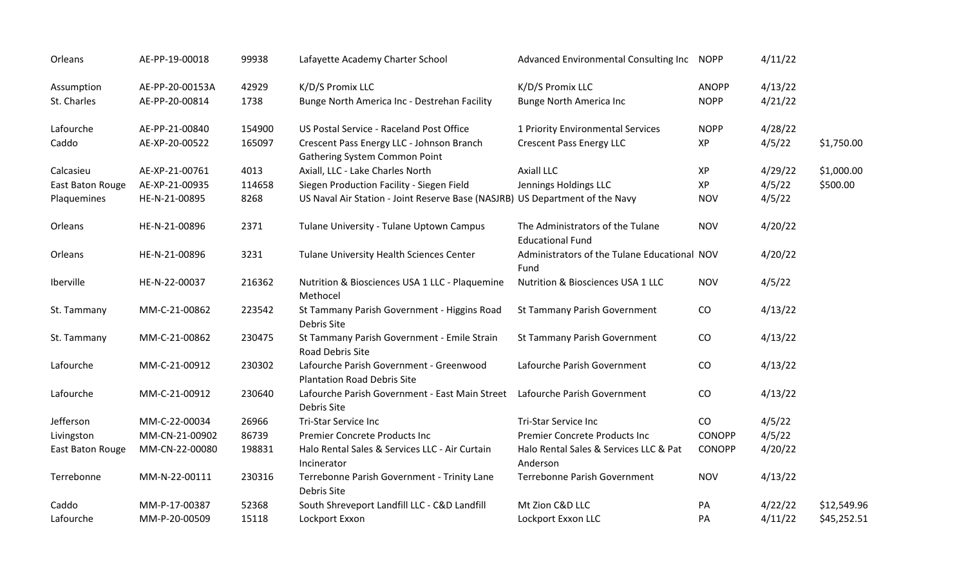| Orleans          | AE-PP-19-00018  | 99938  | Lafayette Academy Charter School                                              | Advanced Environmental Consulting Inc                       | <b>NOPP</b>   | 4/11/22 |             |
|------------------|-----------------|--------|-------------------------------------------------------------------------------|-------------------------------------------------------------|---------------|---------|-------------|
| Assumption       | AE-PP-20-00153A | 42929  | K/D/S Promix LLC                                                              | K/D/S Promix LLC                                            | <b>ANOPP</b>  | 4/13/22 |             |
| St. Charles      | AE-PP-20-00814  | 1738   | Bunge North America Inc - Destrehan Facility                                  | <b>Bunge North America Inc</b>                              | <b>NOPP</b>   | 4/21/22 |             |
| Lafourche        | AE-PP-21-00840  | 154900 | US Postal Service - Raceland Post Office                                      | 1 Priority Environmental Services                           | <b>NOPP</b>   | 4/28/22 |             |
| Caddo            | AE-XP-20-00522  | 165097 | Crescent Pass Energy LLC - Johnson Branch<br>Gathering System Common Point    | <b>Crescent Pass Energy LLC</b>                             | XP            | 4/5/22  | \$1,750.00  |
| Calcasieu        | AE-XP-21-00761  | 4013   | Axiall, LLC - Lake Charles North                                              | <b>Axiall LLC</b>                                           | XP            | 4/29/22 | \$1,000.00  |
| East Baton Rouge | AE-XP-21-00935  | 114658 | Siegen Production Facility - Siegen Field                                     | Jennings Holdings LLC                                       | XP            | 4/5/22  | \$500.00    |
| Plaquemines      | HE-N-21-00895   | 8268   | US Naval Air Station - Joint Reserve Base (NASJRB) US Department of the Navy  |                                                             | <b>NOV</b>    | 4/5/22  |             |
| Orleans          | HE-N-21-00896   | 2371   | Tulane University - Tulane Uptown Campus                                      | The Administrators of the Tulane<br><b>Educational Fund</b> | <b>NOV</b>    | 4/20/22 |             |
| Orleans          | HE-N-21-00896   | 3231   | Tulane University Health Sciences Center                                      | Administrators of the Tulane Educational NOV<br>Fund        |               | 4/20/22 |             |
| Iberville        | HE-N-22-00037   | 216362 | Nutrition & Biosciences USA 1 LLC - Plaquemine<br>Methocel                    | Nutrition & Biosciences USA 1 LLC                           | <b>NOV</b>    | 4/5/22  |             |
| St. Tammany      | MM-C-21-00862   | 223542 | St Tammany Parish Government - Higgins Road<br>Debris Site                    | St Tammany Parish Government                                | CO            | 4/13/22 |             |
| St. Tammany      | MM-C-21-00862   | 230475 | St Tammany Parish Government - Emile Strain<br>Road Debris Site               | St Tammany Parish Government                                | CO            | 4/13/22 |             |
| Lafourche        | MM-C-21-00912   | 230302 | Lafourche Parish Government - Greenwood<br><b>Plantation Road Debris Site</b> | Lafourche Parish Government                                 | CO            | 4/13/22 |             |
| Lafourche        | MM-C-21-00912   | 230640 | Lafourche Parish Government - East Main Street<br>Debris Site                 | Lafourche Parish Government                                 | CO            | 4/13/22 |             |
| Jefferson        | MM-C-22-00034   | 26966  | <b>Tri-Star Service Inc</b>                                                   | <b>Tri-Star Service Inc</b>                                 | CO            | 4/5/22  |             |
| Livingston       | MM-CN-21-00902  | 86739  | <b>Premier Concrete Products Inc</b>                                          | Premier Concrete Products Inc                               | <b>CONOPP</b> | 4/5/22  |             |
| East Baton Rouge | MM-CN-22-00080  | 198831 | Halo Rental Sales & Services LLC - Air Curtain<br>Incinerator                 | Halo Rental Sales & Services LLC & Pat<br>Anderson          | <b>CONOPP</b> | 4/20/22 |             |
| Terrebonne       | MM-N-22-00111   | 230316 | Terrebonne Parish Government - Trinity Lane<br>Debris Site                    | Terrebonne Parish Government                                | <b>NOV</b>    | 4/13/22 |             |
| Caddo            | MM-P-17-00387   | 52368  | South Shreveport Landfill LLC - C&D Landfill                                  | Mt Zion C&D LLC                                             | PA            | 4/22/22 | \$12,549.96 |
| Lafourche        | MM-P-20-00509   | 15118  | Lockport Exxon                                                                | Lockport Exxon LLC                                          | PA            | 4/11/22 | \$45,252.51 |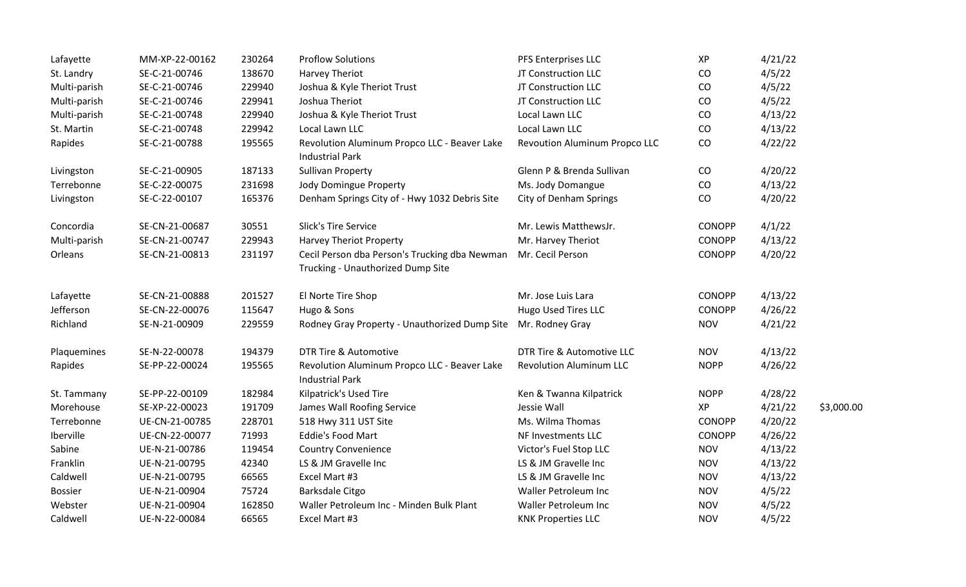| Lafayette      | MM-XP-22-00162 | 230264 | <b>Proflow Solutions</b>                                               | PFS Enterprises LLC            | XP            | 4/21/22 |            |
|----------------|----------------|--------|------------------------------------------------------------------------|--------------------------------|---------------|---------|------------|
| St. Landry     | SE-C-21-00746  | 138670 | Harvey Theriot                                                         | JT Construction LLC            | CO            | 4/5/22  |            |
| Multi-parish   | SE-C-21-00746  | 229940 | Joshua & Kyle Theriot Trust                                            | JT Construction LLC            | CO            | 4/5/22  |            |
| Multi-parish   | SE-C-21-00746  | 229941 | Joshua Theriot                                                         | JT Construction LLC            | CO            | 4/5/22  |            |
| Multi-parish   | SE-C-21-00748  | 229940 | Joshua & Kyle Theriot Trust                                            | Local Lawn LLC                 | CO            | 4/13/22 |            |
| St. Martin     | SE-C-21-00748  | 229942 | Local Lawn LLC                                                         | Local Lawn LLC                 | CO            | 4/13/22 |            |
| Rapides        | SE-C-21-00788  | 195565 | Revolution Aluminum Propco LLC - Beaver Lake<br><b>Industrial Park</b> | Revoution Aluminum Propco LLC  | CO            | 4/22/22 |            |
| Livingston     | SE-C-21-00905  | 187133 | <b>Sullivan Property</b>                                               | Glenn P & Brenda Sullivan      | CO            | 4/20/22 |            |
| Terrebonne     | SE-C-22-00075  | 231698 | <b>Jody Domingue Property</b>                                          | Ms. Jody Domangue              | CO            | 4/13/22 |            |
| Livingston     | SE-C-22-00107  | 165376 | Denham Springs City of - Hwy 1032 Debris Site                          | <b>City of Denham Springs</b>  | CO            | 4/20/22 |            |
| Concordia      | SE-CN-21-00687 | 30551  | <b>Slick's Tire Service</b>                                            | Mr. Lewis MatthewsJr.          | <b>CONOPP</b> | 4/1/22  |            |
| Multi-parish   | SE-CN-21-00747 | 229943 | <b>Harvey Theriot Property</b>                                         | Mr. Harvey Theriot             | <b>CONOPP</b> | 4/13/22 |            |
| Orleans        | SE-CN-21-00813 | 231197 | Cecil Person dba Person's Trucking dba Newman                          | Mr. Cecil Person               | CONOPP        | 4/20/22 |            |
|                |                |        | Trucking - Unauthorized Dump Site                                      |                                |               |         |            |
| Lafayette      | SE-CN-21-00888 | 201527 | El Norte Tire Shop                                                     | Mr. Jose Luis Lara             | <b>CONOPP</b> | 4/13/22 |            |
| Jefferson      | SE-CN-22-00076 | 115647 | Hugo & Sons                                                            | Hugo Used Tires LLC            | <b>CONOPP</b> | 4/26/22 |            |
| Richland       | SE-N-21-00909  | 229559 | Rodney Gray Property - Unauthorized Dump Site                          | Mr. Rodney Gray                | <b>NOV</b>    | 4/21/22 |            |
| Plaquemines    | SE-N-22-00078  | 194379 | DTR Tire & Automotive                                                  | DTR Tire & Automotive LLC      | <b>NOV</b>    | 4/13/22 |            |
| Rapides        | SE-PP-22-00024 | 195565 | Revolution Aluminum Propco LLC - Beaver Lake<br><b>Industrial Park</b> | <b>Revolution Aluminum LLC</b> | <b>NOPP</b>   | 4/26/22 |            |
| St. Tammany    | SE-PP-22-00109 | 182984 | Kilpatrick's Used Tire                                                 | Ken & Twanna Kilpatrick        | <b>NOPP</b>   | 4/28/22 |            |
| Morehouse      | SE-XP-22-00023 | 191709 | James Wall Roofing Service                                             | Jessie Wall                    | XP            | 4/21/22 | \$3,000.00 |
| Terrebonne     | UE-CN-21-00785 | 228701 | 518 Hwy 311 UST Site                                                   | Ms. Wilma Thomas               | <b>CONOPP</b> | 4/20/22 |            |
| Iberville      | UE-CN-22-00077 | 71993  | <b>Eddie's Food Mart</b>                                               | NF Investments LLC             | <b>CONOPP</b> | 4/26/22 |            |
| Sabine         | UE-N-21-00786  | 119454 | <b>Country Convenience</b>                                             | Victor's Fuel Stop LLC         | <b>NOV</b>    | 4/13/22 |            |
| Franklin       | UE-N-21-00795  | 42340  | LS & JM Gravelle Inc                                                   | LS & JM Gravelle Inc           | <b>NOV</b>    | 4/13/22 |            |
| Caldwell       | UE-N-21-00795  | 66565  | Excel Mart #3                                                          | LS & JM Gravelle Inc           | <b>NOV</b>    | 4/13/22 |            |
| <b>Bossier</b> | UE-N-21-00904  | 75724  | Barksdale Citgo                                                        | Waller Petroleum Inc           | <b>NOV</b>    | 4/5/22  |            |
| Webster        | UE-N-21-00904  | 162850 | Waller Petroleum Inc - Minden Bulk Plant                               | Waller Petroleum Inc           | <b>NOV</b>    | 4/5/22  |            |
| Caldwell       | UE-N-22-00084  | 66565  | Excel Mart #3                                                          | <b>KNK Properties LLC</b>      | <b>NOV</b>    | 4/5/22  |            |